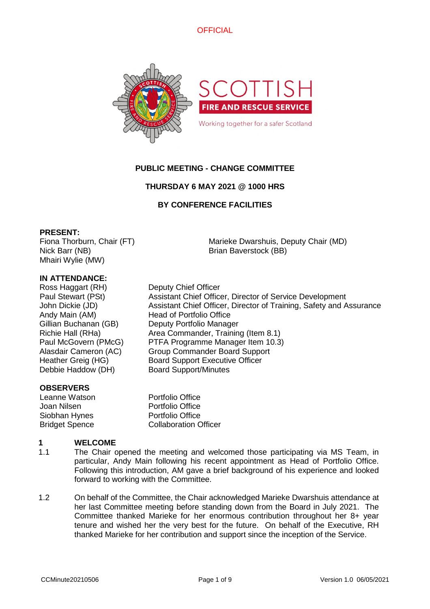

# **PUBLIC MEETING - CHANGE COMMITTEE**

# **THURSDAY 6 MAY 2021 @ 1000 HRS**

# **BY CONFERENCE FACILITIES**

## **PRESENT:**

Fiona Thorburn, Chair (FT) Nick Barr (NB) Mhairi Wylie (MW)

Marieke Dwarshuis, Deputy Chair (MD) Brian Baverstock (BB)

## **IN ATTENDANCE:**

Ross Haggart (RH) Deputy Chief Officer Paul Stewart (PSt) Assistant Chief Officer, Director of Service Development John Dickie (JD) Assistant Chief Officer, Director of Training, Safety and Assurance Andy Main (AM) Head of Portfolio Office Gillian Buchanan (GB) Deputy Portfolio Manager Richie Hall (RHa) Area Commander, Training (Item 8.1) Paul McGovern (PMcG) PTFA Programme Manager Item 10.3) Alasdair Cameron (AC) Group Commander Board Support Heather Greig (HG) Board Support Executive Officer Debbie Haddow (DH) Board Support/Minutes

### **OBSERVERS**

Leanne Watson **Portfolio Office** Joan Nilsen Portfolio Office Siobhan Hynes Portfolio Office **Bridget Spence** Collaboration Officer

#### **1 WELCOME**

- 1.1 The Chair opened the meeting and welcomed those participating via MS Team, in particular, Andy Main following his recent appointment as Head of Portfolio Office. Following this introduction, AM gave a brief background of his experience and looked forward to working with the Committee.
- 1.2 On behalf of the Committee, the Chair acknowledged Marieke Dwarshuis attendance at her last Committee meeting before standing down from the Board in July 2021. The Committee thanked Marieke for her enormous contribution throughout her 8+ year tenure and wished her the very best for the future. On behalf of the Executive, RH thanked Marieke for her contribution and support since the inception of the Service.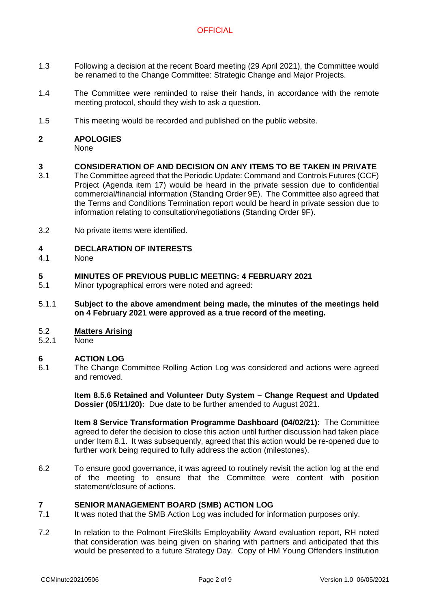- 1.3 Following a decision at the recent Board meeting (29 April 2021), the Committee would be renamed to the Change Committee: Strategic Change and Major Projects.
- 1.4 The Committee were reminded to raise their hands, in accordance with the remote meeting protocol, should they wish to ask a question.
- 1.5 This meeting would be recorded and published on the public website.
- **2 APOLOGIES** None

#### **3 CONSIDERATION OF AND DECISION ON ANY ITEMS TO BE TAKEN IN PRIVATE**

- 3.1 The Committee agreed that the Periodic Update: Command and Controls Futures (CCF) Project (Agenda item 17) would be heard in the private session due to confidential commercial/financial information (Standing Order 9E). The Committee also agreed that the Terms and Conditions Termination report would be heard in private session due to information relating to consultation/negotiations (Standing Order 9F).
- 3.2 No private items were identified.

#### **4 DECLARATION OF INTERESTS**

4.1 None

#### **5 MINUTES OF PREVIOUS PUBLIC MEETING: 4 FEBRUARY 2021**

- 5.1 Minor typographical errors were noted and agreed:
- 5.1.1 **Subject to the above amendment being made, the minutes of the meetings held on 4 February 2021 were approved as a true record of the meeting.**

#### 5.2 **Matters Arising**

5.2.1 None

#### **6 ACTION LOG**

6.1 The Change Committee Rolling Action Log was considered and actions were agreed and removed.

> **Item 8.5.6 Retained and Volunteer Duty System – Change Request and Updated Dossier (05/11/20):** Due date to be further amended to August 2021.

> **Item 8 Service Transformation Programme Dashboard (04/02/21):** The Committee agreed to defer the decision to close this action until further discussion had taken place under Item 8.1. It was subsequently, agreed that this action would be re-opened due to further work being required to fully address the action (milestones).

6.2 To ensure good governance, it was agreed to routinely revisit the action log at the end of the meeting to ensure that the Committee were content with position statement/closure of actions.

# **7 SENIOR MANAGEMENT BOARD (SMB) ACTION LOG**

- 7.1 It was noted that the SMB Action Log was included for information purposes only.
- 7.2 In relation to the Polmont FireSkills Employability Award evaluation report, RH noted that consideration was being given on sharing with partners and anticipated that this would be presented to a future Strategy Day. Copy of HM Young Offenders Institution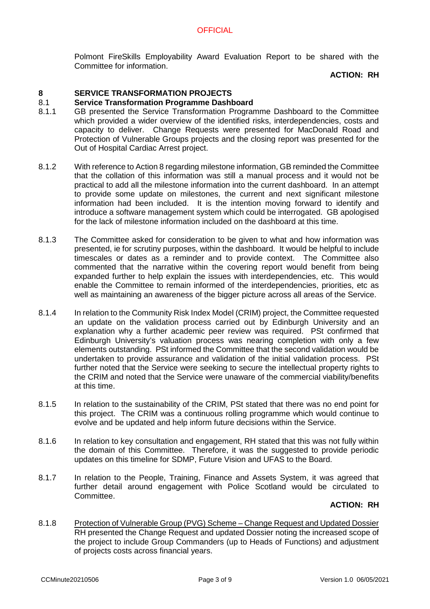Polmont FireSkills Employability Award Evaluation Report to be shared with the Committee for information.

# **ACTION: RH**

#### **8 SERVICE TRANSFORMATION PROJECTS**

#### 8.1 **Service Transformation Programme Dashboard**

- 8.1.1 GB presented the Service Transformation Programme Dashboard to the Committee which provided a wider overview of the identified risks, interdependencies, costs and capacity to deliver. Change Requests were presented for MacDonald Road and Protection of Vulnerable Groups projects and the closing report was presented for the Out of Hospital Cardiac Arrest project.
- 8.1.2 With reference to Action 8 regarding milestone information, GB reminded the Committee that the collation of this information was still a manual process and it would not be practical to add all the milestone information into the current dashboard. In an attempt to provide some update on milestones, the current and next significant milestone information had been included. It is the intention moving forward to identify and introduce a software management system which could be interrogated. GB apologised for the lack of milestone information included on the dashboard at this time.
- 8.1.3 The Committee asked for consideration to be given to what and how information was presented, ie for scrutiny purposes, within the dashboard. It would be helpful to include timescales or dates as a reminder and to provide context. The Committee also commented that the narrative within the covering report would benefit from being expanded further to help explain the issues with interdependencies, etc. This would enable the Committee to remain informed of the interdependencies, priorities, etc as well as maintaining an awareness of the bigger picture across all areas of the Service.
- 8.1.4 In relation to the Community Risk Index Model (CRIM) project, the Committee requested an update on the validation process carried out by Edinburgh University and an explanation why a further academic peer review was required. PSt confirmed that Edinburgh University's valuation process was nearing completion with only a few elements outstanding. PSt informed the Committee that the second validation would be undertaken to provide assurance and validation of the initial validation process. PSt further noted that the Service were seeking to secure the intellectual property rights to the CRIM and noted that the Service were unaware of the commercial viability/benefits at this time.
- 8.1.5 In relation to the sustainability of the CRIM, PSt stated that there was no end point for this project. The CRIM was a continuous rolling programme which would continue to evolve and be updated and help inform future decisions within the Service.
- 8.1.6 In relation to key consultation and engagement, RH stated that this was not fully within the domain of this Committee. Therefore, it was the suggested to provide periodic updates on this timeline for SDMP, Future Vision and UFAS to the Board.
- 8.1.7 In relation to the People, Training, Finance and Assets System, it was agreed that further detail around engagement with Police Scotland would be circulated to Committee.

### **ACTION: RH**

8.1.8 Protection of Vulnerable Group (PVG) Scheme – Change Request and Updated Dossier RH presented the Change Request and updated Dossier noting the increased scope of the project to include Group Commanders (up to Heads of Functions) and adjustment of projects costs across financial years.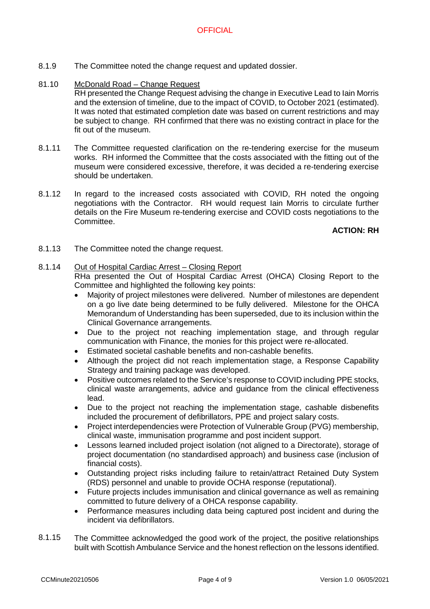- 8.1.9 The Committee noted the change request and updated dossier.
- 81.10 McDonald Road – Change Request

RH presented the Change Request advising the change in Executive Lead to Iain Morris and the extension of timeline, due to the impact of COVID, to October 2021 (estimated). It was noted that estimated completion date was based on current restrictions and may be subject to change. RH confirmed that there was no existing contract in place for the fit out of the museum.

- 8.1.11 The Committee requested clarification on the re-tendering exercise for the museum works. RH informed the Committee that the costs associated with the fitting out of the museum were considered excessive, therefore, it was decided a re-tendering exercise should be undertaken.
- 8.1.12 In regard to the increased costs associated with COVID, RH noted the ongoing negotiations with the Contractor. RH would request Iain Morris to circulate further details on the Fire Museum re-tendering exercise and COVID costs negotiations to the Committee.

# **ACTION: RH**

8.1.13 The Committee noted the change request.

#### 8.1.14 Out of Hospital Cardiac Arrest – Closing Report

RHa presented the Out of Hospital Cardiac Arrest (OHCA) Closing Report to the Committee and highlighted the following key points:

- Majority of project milestones were delivered. Number of milestones are dependent on a go live date being determined to be fully delivered. Milestone for the OHCA Memorandum of Understanding has been superseded, due to its inclusion within the Clinical Governance arrangements.
- Due to the project not reaching implementation stage, and through regular communication with Finance, the monies for this project were re-allocated.
- Estimated societal cashable benefits and non-cashable benefits.
- Although the project did not reach implementation stage, a Response Capability Strategy and training package was developed.
- Positive outcomes related to the Service's response to COVID including PPE stocks, clinical waste arrangements, advice and guidance from the clinical effectiveness lead.
- Due to the project not reaching the implementation stage, cashable disbenefits included the procurement of defibrillators, PPE and project salary costs.
- Project interdependencies were Protection of Vulnerable Group (PVG) membership, clinical waste, immunisation programme and post incident support.
- Lessons learned included project isolation (not aligned to a Directorate), storage of project documentation (no standardised approach) and business case (inclusion of financial costs).
- Outstanding project risks including failure to retain/attract Retained Duty System (RDS) personnel and unable to provide OCHA response (reputational).
- Future projects includes immunisation and clinical governance as well as remaining committed to future delivery of a OHCA response capability.
- Performance measures including data being captured post incident and during the incident via defibrillators.
- 8.1.15 The Committee acknowledged the good work of the project, the positive relationships built with Scottish Ambulance Service and the honest reflection on the lessons identified.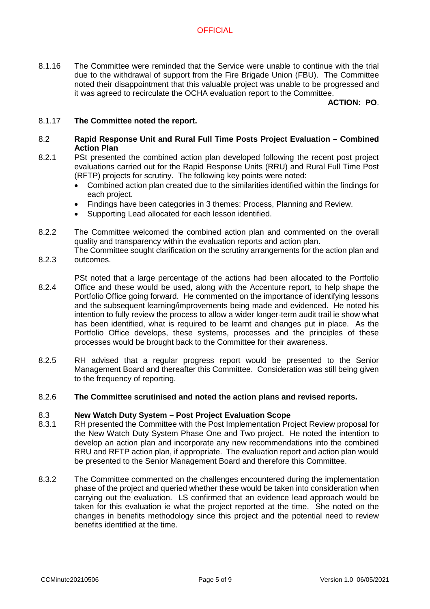8.1.16 The Committee were reminded that the Service were unable to continue with the trial due to the withdrawal of support from the Fire Brigade Union (FBU). The Committee noted their disappointment that this valuable project was unable to be progressed and it was agreed to recirculate the OCHA evaluation report to the Committee.

# **ACTION: PO**.

#### 8.1.17 **The Committee noted the report.**

### 8.2 **Rapid Response Unit and Rural Full Time Posts Project Evaluation – Combined Action Plan**

- 8.2.1 PSt presented the combined action plan developed following the recent post project evaluations carried out for the Rapid Response Units (RRU) and Rural Full Time Post (RFTP) projects for scrutiny. The following key points were noted:
	- Combined action plan created due to the similarities identified within the findings for each project.
	- Findings have been categories in 3 themes: Process, Planning and Review.
	- Supporting Lead allocated for each lesson identified.
- 822 The Committee welcomed the combined action plan and commented on the overall quality and transparency within the evaluation reports and action plan.
- 8.2.3 The Committee sought clarification on the scrutiny arrangements for the action plan and outcomes.
- 8.2.4 PSt noted that a large percentage of the actions had been allocated to the Portfolio Office and these would be used, along with the Accenture report, to help shape the Portfolio Office going forward. He commented on the importance of identifying lessons and the subsequent learning/improvements being made and evidenced. He noted his intention to fully review the process to allow a wider longer-term audit trail ie show what has been identified, what is required to be learnt and changes put in place. As the Portfolio Office develops, these systems, processes and the principles of these processes would be brought back to the Committee for their awareness.
- 8.2.5 RH advised that a regular progress report would be presented to the Senior Management Board and thereafter this Committee. Consideration was still being given to the frequency of reporting.

#### 8.2.6 **The Committee scrutinised and noted the action plans and revised reports.**

#### 8.3 **New Watch Duty System – Post Project Evaluation Scope**

- 8.3.1 RH presented the Committee with the Post Implementation Project Review proposal for the New Watch Duty System Phase One and Two project. He noted the intention to develop an action plan and incorporate any new recommendations into the combined RRU and RFTP action plan, if appropriate. The evaluation report and action plan would be presented to the Senior Management Board and therefore this Committee.
- 8.3.2 The Committee commented on the challenges encountered during the implementation phase of the project and queried whether these would be taken into consideration when carrying out the evaluation. LS confirmed that an evidence lead approach would be taken for this evaluation ie what the project reported at the time. She noted on the changes in benefits methodology since this project and the potential need to review benefits identified at the time.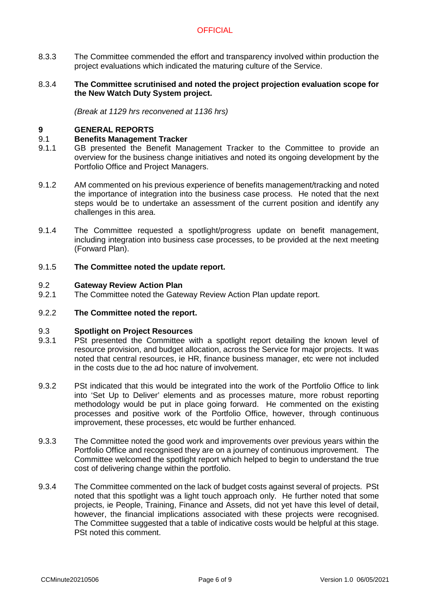8.3.3 The Committee commended the effort and transparency involved within production the project evaluations which indicated the maturing culture of the Service.

### 8.3.4 **The Committee scrutinised and noted the project projection evaluation scope for the New Watch Duty System project.**

*(Break at 1129 hrs reconvened at 1136 hrs)*

## **9 GENERAL REPORTS**

#### 9.1 **Benefits Management Tracker**

- 9.1.1 GB presented the Benefit Management Tracker to the Committee to provide an overview for the business change initiatives and noted its ongoing development by the Portfolio Office and Project Managers.
- 9.1.2 AM commented on his previous experience of benefits management/tracking and noted the importance of integration into the business case process. He noted that the next steps would be to undertake an assessment of the current position and identify any challenges in this area.
- 9.1.4 The Committee requested a spotlight/progress update on benefit management, including integration into business case processes, to be provided at the next meeting (Forward Plan).

#### 9.1.5 **The Committee noted the update report.**

#### 9.2 **Gateway Review Action Plan**

9.2.1 The Committee noted the Gateway Review Action Plan update report.

#### 9.2.2 **The Committee noted the report.**

#### 9.3 **Spotlight on Project Resources**

- 9.3.1 PSt presented the Committee with a spotlight report detailing the known level of resource provision, and budget allocation, across the Service for major projects. It was noted that central resources, ie HR, finance business manager, etc were not included in the costs due to the ad hoc nature of involvement.
- 9.3.2 PSt indicated that this would be integrated into the work of the Portfolio Office to link into 'Set Up to Deliver' elements and as processes mature, more robust reporting methodology would be put in place going forward. He commented on the existing processes and positive work of the Portfolio Office, however, through continuous improvement, these processes, etc would be further enhanced.
- 9.3.3 The Committee noted the good work and improvements over previous years within the Portfolio Office and recognised they are on a journey of continuous improvement. The Committee welcomed the spotlight report which helped to begin to understand the true cost of delivering change within the portfolio.
- 9.3.4 The Committee commented on the lack of budget costs against several of projects. PSt noted that this spotlight was a light touch approach only. He further noted that some projects, ie People, Training, Finance and Assets, did not yet have this level of detail, however, the financial implications associated with these projects were recognised. The Committee suggested that a table of indicative costs would be helpful at this stage. PSt noted this comment.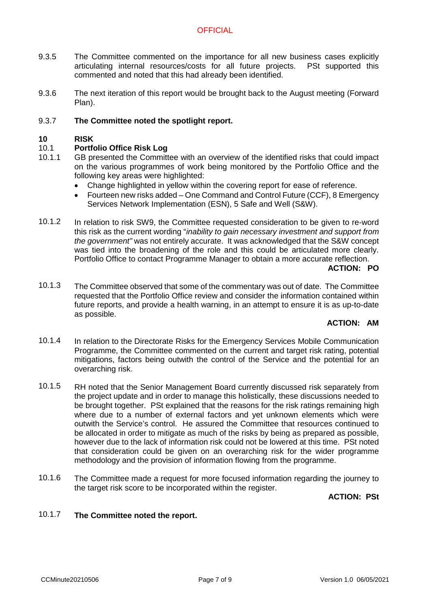- 9.3.5 The Committee commented on the importance for all new business cases explicitly articulating internal resources/costs for all future projects. PSt supported this commented and noted that this had already been identified.
- 9.3.6 The next iteration of this report would be brought back to the August meeting (Forward Plan).

#### 9.3.7 **The Committee noted the spotlight report.**

#### **10 RISK**

#### 10.1 **Portfolio Office Risk Log**

- 10.1.1 GB presented the Committee with an overview of the identified risks that could impact on the various programmes of work being monitored by the Portfolio Office and the following key areas were highlighted:
	- Change highlighted in yellow within the covering report for ease of reference.
	- Fourteen new risks added One Command and Control Future (CCF), 8 Emergency Services Network Implementation (ESN), 5 Safe and Well (S&W).
- 10.1.2 In relation to risk SW9, the Committee requested consideration to be given to re-word this risk as the current wording "*inability to gain necessary investment and support from the government"* was not entirely accurate. It was acknowledged that the S&W concept was tied into the broadening of the role and this could be articulated more clearly. Portfolio Office to contact Programme Manager to obtain a more accurate reflection.

### **ACTION: PO**

10.1.3 The Committee observed that some of the commentary was out of date. The Committee requested that the Portfolio Office review and consider the information contained within future reports, and provide a health warning, in an attempt to ensure it is as up-to-date as possible.

# **ACTION: AM**

- 10.1.4 In relation to the Directorate Risks for the Emergency Services Mobile Communication Programme, the Committee commented on the current and target risk rating, potential mitigations, factors being outwith the control of the Service and the potential for an overarching risk.
- 10.1.5 RH noted that the Senior Management Board currently discussed risk separately from the project update and in order to manage this holistically, these discussions needed to be brought together. PSt explained that the reasons for the risk ratings remaining high where due to a number of external factors and yet unknown elements which were outwith the Service's control. He assured the Committee that resources continued to be allocated in order to mitigate as much of the risks by being as prepared as possible, however due to the lack of information risk could not be lowered at this time. PSt noted that consideration could be given on an overarching risk for the wider programme methodology and the provision of information flowing from the programme.
- 10.1.6 The Committee made a request for more focused information regarding the journey to the target risk score to be incorporated within the register.

### **ACTION: PSt**

#### 10.1.7 **The Committee noted the report.**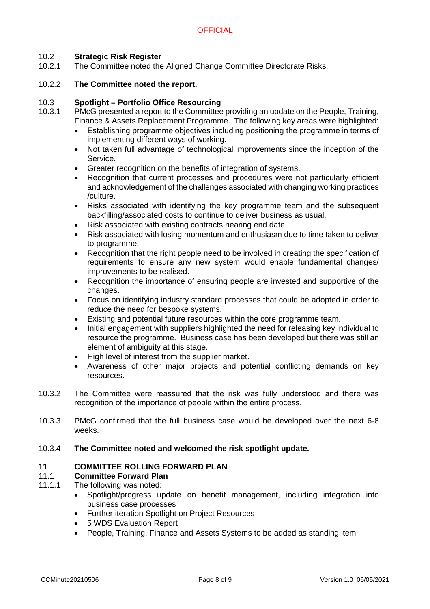#### 10.2 **Strategic Risk Register**

10.2.1 The Committee noted the Aligned Change Committee Directorate Risks.

#### 10.2.2 **The Committee noted the report.**

#### 10.3 **Spotlight – Portfolio Office Resourcing**

- 10.3.1 PMcG presented a report to the Committee providing an update on the People, Training, Finance & Assets Replacement Programme. The following key areas were highlighted:
	- Establishing programme objectives including positioning the programme in terms of implementing different ways of working.
	- Not taken full advantage of technological improvements since the inception of the Service.
	- Greater recognition on the benefits of integration of systems.
	- Recognition that current processes and procedures were not particularly efficient and acknowledgement of the challenges associated with changing working practices /culture.
	- Risks associated with identifying the key programme team and the subsequent backfilling/associated costs to continue to deliver business as usual.
	- Risk associated with existing contracts nearing end date.
	- Risk associated with losing momentum and enthusiasm due to time taken to deliver to programme.
	- Recognition that the right people need to be involved in creating the specification of requirements to ensure any new system would enable fundamental changes/ improvements to be realised.
	- Recognition the importance of ensuring people are invested and supportive of the changes.
	- Focus on identifying industry standard processes that could be adopted in order to reduce the need for bespoke systems.
	- Existing and potential future resources within the core programme team.
	- Initial engagement with suppliers highlighted the need for releasing key individual to resource the programme. Business case has been developed but there was still an element of ambiguity at this stage.
	- High level of interest from the supplier market.
	- Awareness of other major projects and potential conflicting demands on key resources.
- 10.3.2 The Committee were reassured that the risk was fully understood and there was recognition of the importance of people within the entire process.
- 10.3.3 PMcG confirmed that the full business case would be developed over the next 6-8 weeks.

#### 10.3.4 **The Committee noted and welcomed the risk spotlight update.**

# **11 COMMITTEE ROLLING FORWARD PLAN**

#### 11.1 **Committee Forward Plan**

- 11.1.1 The following was noted:
	- Spotlight/progress update on benefit management, including integration into business case processes
	- Further iteration Spotlight on Project Resources
	- 5 WDS Evaluation Report
	- People, Training, Finance and Assets Systems to be added as standing item